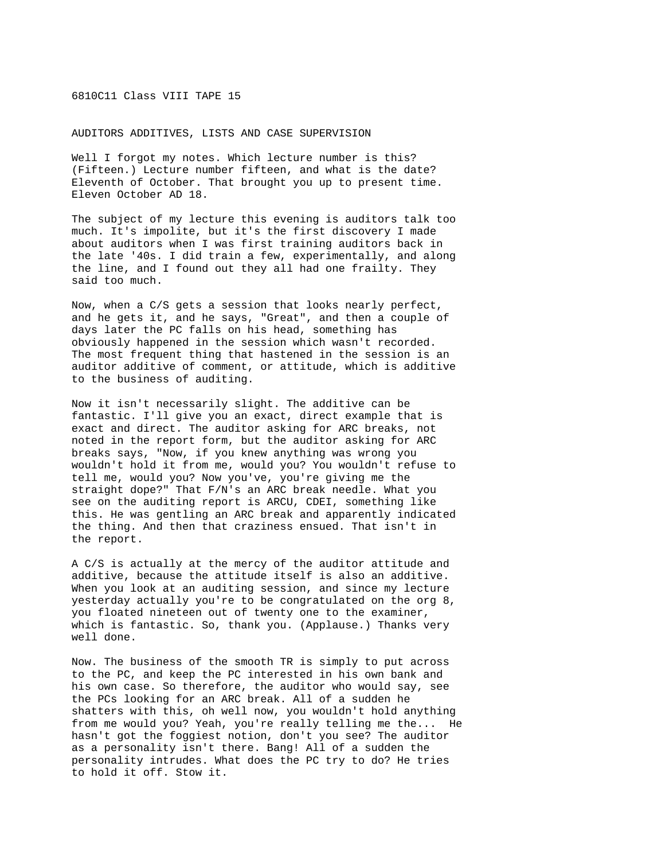## 6810C11 Class VIII TAPE 15

AUDITORS ADDITIVES, LISTS AND CASE SUPERVISION

Well I forgot my notes. Which lecture number is this? (Fifteen.) Lecture number fifteen, and what is the date? Eleventh of October. That brought you up to present time. Eleven October AD 18.

The subject of my lecture this evening is auditors talk too much. It's impolite, but it's the first discovery I made about auditors when I was first training auditors back in the late '40s. I did train a few, experimentally, and along the line, and I found out they all had one frailty. They said too much.

Now, when a C/S gets a session that looks nearly perfect, and he gets it, and he says, "Great", and then a couple of days later the PC falls on his head, something has obviously happened in the session which wasn't recorded. The most frequent thing that hastened in the session is an auditor additive of comment, or attitude, which is additive to the business of auditing.

Now it isn't necessarily slight. The additive can be fantastic. I'll give you an exact, direct example that is exact and direct. The auditor asking for ARC breaks, not noted in the report form, but the auditor asking for ARC breaks says, "Now, if you knew anything was wrong you wouldn't hold it from me, would you? You wouldn't refuse to tell me, would you? Now you've, you're giving me the straight dope?" That F/N's an ARC break needle. What you see on the auditing report is ARCU, CDEI, something like this. He was gentling an ARC break and apparently indicated the thing. And then that craziness ensued. That isn't in the report.

A C/S is actually at the mercy of the auditor attitude and additive, because the attitude itself is also an additive. When you look at an auditing session, and since my lecture yesterday actually you're to be congratulated on the org 8, you floated nineteen out of twenty one to the examiner, which is fantastic. So, thank you. (Applause.) Thanks very well done.

Now. The business of the smooth TR is simply to put across to the PC, and keep the PC interested in his own bank and his own case. So therefore, the auditor who would say, see the PCs looking for an ARC break. All of a sudden he shatters with this, oh well now, you wouldn't hold anything from me would you? Yeah, you're really telling me the... He hasn't got the foggiest notion, don't you see? The auditor as a personality isn't there. Bang! All of a sudden the personality intrudes. What does the PC try to do? He tries to hold it off. Stow it.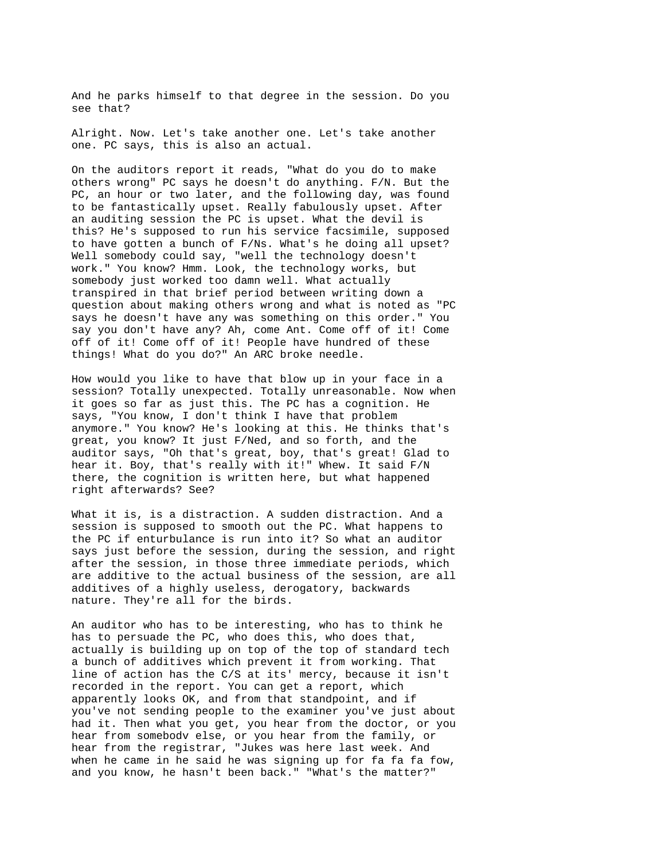And he parks himself to that degree in the session. Do you see that?

Alright. Now. Let's take another one. Let's take another one. PC says, this is also an actual.

On the auditors report it reads, "What do you do to make others wrong" PC says he doesn't do anything. F/N. But the PC, an hour or two later, and the following day, was found to be fantastically upset. Really fabulously upset. After an auditing session the PC is upset. What the devil is this? He's supposed to run his service facsimile, supposed to have gotten a bunch of F/Ns. What's he doing all upset? Well somebody could say, "well the technology doesn't work." You know? Hmm. Look, the technology works, but somebody just worked too damn well. What actually transpired in that brief period between writing down a question about making others wrong and what is noted as "PC says he doesn't have any was something on this order." You say you don't have any? Ah, come Ant. Come off of it! Come off of it! Come off of it! People have hundred of these things! What do you do?" An ARC broke needle.

How would you like to have that blow up in your face in a session? Totally unexpected. Totally unreasonable. Now when it goes so far as just this. The PC has a cognition. He says, "You know, I don't think I have that problem anymore." You know? He's looking at this. He thinks that's great, you know? It just F/Ned, and so forth, and the auditor says, "Oh that's great, boy, that's great! Glad to hear it. Boy, that's really with it!" Whew. It said F/N there, the cognition is written here, but what happened right afterwards? See?

What it is, is a distraction. A sudden distraction. And a session is supposed to smooth out the PC. What happens to the PC if enturbulance is run into it? So what an auditor says just before the session, during the session, and right after the session, in those three immediate periods, which are additive to the actual business of the session, are all additives of a highly useless, derogatory, backwards nature. They're all for the birds.

An auditor who has to be interesting, who has to think he has to persuade the PC, who does this, who does that, actually is building up on top of the top of standard tech a bunch of additives which prevent it from working. That line of action has the C/S at its' mercy, because it isn't recorded in the report. You can get a report, which apparently looks OK, and from that standpoint, and if you've not sending people to the examiner you've just about had it. Then what you get, you hear from the doctor, or you hear from somebodv else, or you hear from the family, or hear from the registrar, "Jukes was here last week. And when he came in he said he was signing up for fa fa fa fow, and you know, he hasn't been back." "What's the matter?"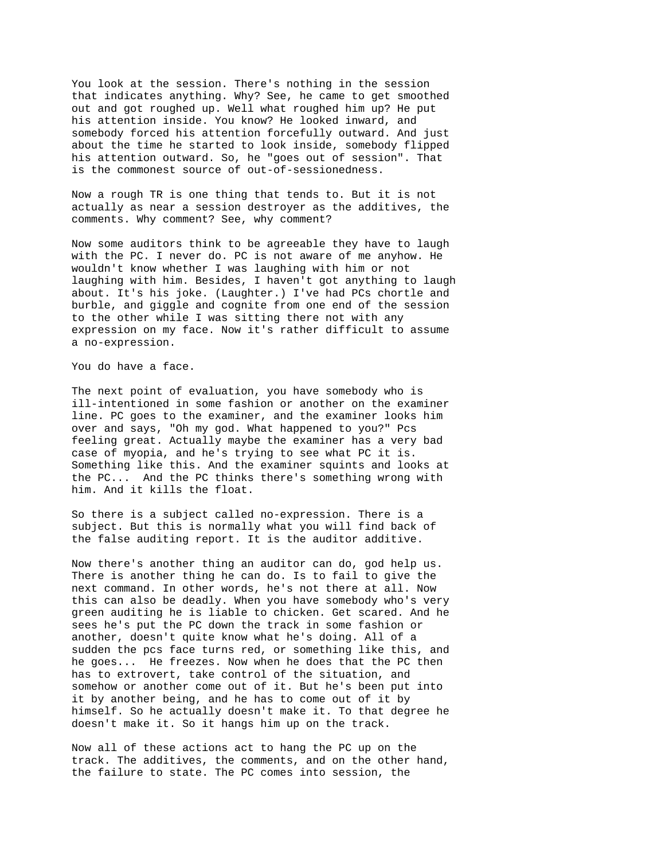You look at the session. There's nothing in the session that indicates anything. Why? See, he came to get smoothed out and got roughed up. Well what roughed him up? He put his attention inside. You know? He looked inward, and somebody forced his attention forcefully outward. And just about the time he started to look inside, somebody flipped his attention outward. So, he "goes out of session". That is the commonest source of out-of-sessionedness.

Now a rough TR is one thing that tends to. But it is not actually as near a session destroyer as the additives, the comments. Why comment? See, why comment?

Now some auditors think to be agreeable they have to laugh with the PC. I never do. PC is not aware of me anyhow. He wouldn't know whether I was laughing with him or not laughing with him. Besides, I haven't got anything to laugh about. It's his joke. (Laughter.) I've had PCs chortle and burble, and giggle and cognite from one end of the session to the other while I was sitting there not with any expression on my face. Now it's rather difficult to assume a no-expression.

You do have a face.

The next point of evaluation, you have somebody who is ill-intentioned in some fashion or another on the examiner line. PC goes to the examiner, and the examiner looks him over and says, "Oh my god. What happened to you?" Pcs feeling great. Actually maybe the examiner has a very bad case of myopia, and he's trying to see what PC it is. Something like this. And the examiner squints and looks at the PC... And the PC thinks there's something wrong with him. And it kills the float.

So there is a subject called no-expression. There is a subject. But this is normally what you will find back of the false auditing report. It is the auditor additive.

Now there's another thing an auditor can do, god help us. There is another thing he can do. Is to fail to give the next command. In other words, he's not there at all. Now this can also be deadly. When you have somebody who's very green auditing he is liable to chicken. Get scared. And he sees he's put the PC down the track in some fashion or another, doesn't quite know what he's doing. All of a sudden the pcs face turns red, or something like this, and he goes... He freezes. Now when he does that the PC then has to extrovert, take control of the situation, and somehow or another come out of it. But he's been put into it by another being, and he has to come out of it by himself. So he actually doesn't make it. To that degree he doesn't make it. So it hangs him up on the track.

Now all of these actions act to hang the PC up on the track. The additives, the comments, and on the other hand, the failure to state. The PC comes into session, the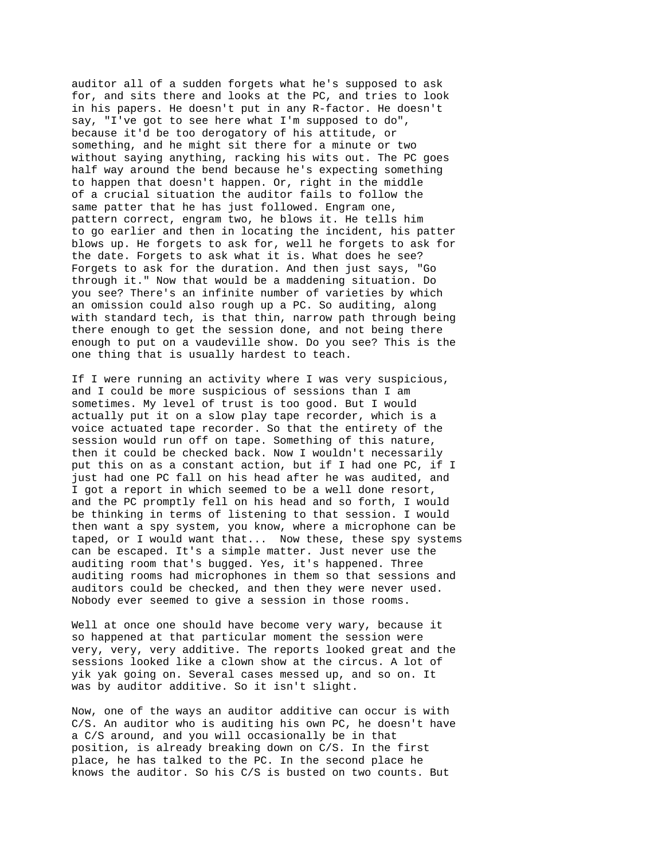auditor all of a sudden forgets what he's supposed to ask for, and sits there and looks at the PC, and tries to look in his papers. He doesn't put in any R-factor. He doesn't say, "I've got to see here what I'm supposed to do", because it'd be too derogatory of his attitude, or something, and he might sit there for a minute or two without saying anything, racking his wits out. The PC goes half way around the bend because he's expecting something to happen that doesn't happen. Or, right in the middle of a crucial situation the auditor fails to follow the same patter that he has just followed. Engram one, pattern correct, engram two, he blows it. He tells him to go earlier and then in locating the incident, his patter blows up. He forgets to ask for, well he forgets to ask for the date. Forgets to ask what it is. What does he see? Forgets to ask for the duration. And then just says, "Go through it." Now that would be a maddening situation. Do you see? There's an infinite number of varieties by which an omission could also rough up a PC. So auditing, along with standard tech, is that thin, narrow path through being there enough to get the session done, and not being there enough to put on a vaudeville show. Do you see? This is the one thing that is usually hardest to teach.

If I were running an activity where I was very suspicious, and I could be more suspicious of sessions than I am sometimes. My level of trust is too good. But I would actually put it on a slow play tape recorder, which is a voice actuated tape recorder. So that the entirety of the session would run off on tape. Something of this nature, then it could be checked back. Now I wouldn't necessarily put this on as a constant action, but if I had one PC, if I just had one PC fall on his head after he was audited, and I got a report in which seemed to be a well done resort, and the PC promptly fell on his head and so forth, I would be thinking in terms of listening to that session. I would then want a spy system, you know, where a microphone can be taped, or I would want that... Now these, these spy systems can be escaped. It's a simple matter. Just never use the auditing room that's bugged. Yes, it's happened. Three auditing rooms had microphones in them so that sessions and auditors could be checked, and then they were never used. Nobody ever seemed to give a session in those rooms.

Well at once one should have become very wary, because it so happened at that particular moment the session were very, very, very additive. The reports looked great and the sessions looked like a clown show at the circus. A lot of yik yak going on. Several cases messed up, and so on. It was by auditor additive. So it isn't slight.

Now, one of the ways an auditor additive can occur is with C/S. An auditor who is auditing his own PC, he doesn't have a C/S around, and you will occasionally be in that position, is already breaking down on C/S. In the first place, he has talked to the PC. In the second place he knows the auditor. So his C/S is busted on two counts. But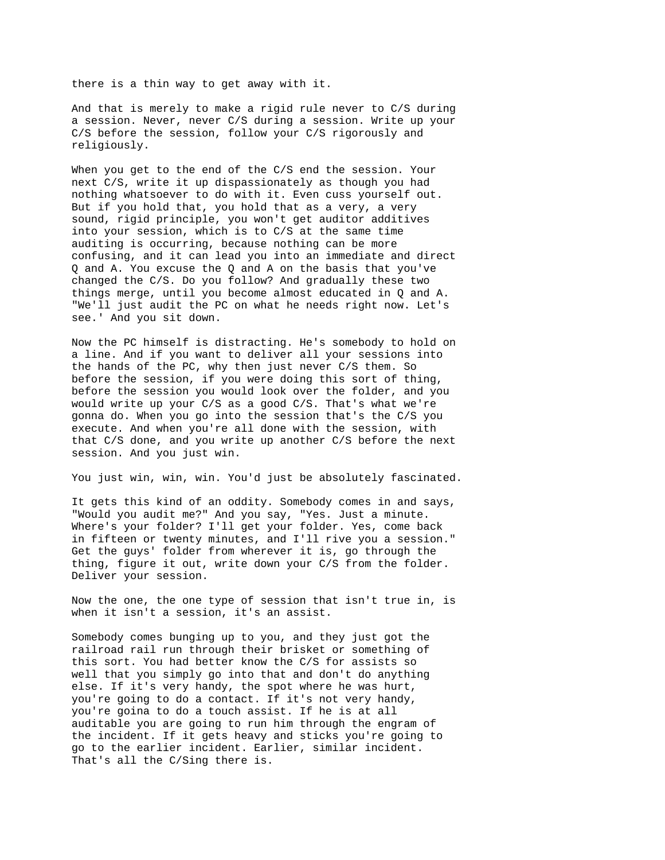there is a thin way to get away with it.

And that is merely to make a rigid rule never to C/S during a session. Never, never C/S during a session. Write up your C/S before the session, follow your C/S rigorously and religiously.

When you get to the end of the C/S end the session. Your next C/S, write it up dispassionately as though you had nothing whatsoever to do with it. Even cuss yourself out. But if you hold that, you hold that as a very, a very sound, rigid principle, you won't get auditor additives into your session, which is to C/S at the same time auditing is occurring, because nothing can be more confusing, and it can lead you into an immediate and direct Q and A. You excuse the Q and A on the basis that you've changed the C/S. Do you follow? And gradually these two things merge, until you become almost educated in Q and A. "We'll just audit the PC on what he needs right now. Let's see.' And you sit down.

Now the PC himself is distracting. He's somebody to hold on a line. And if you want to deliver all your sessions into the hands of the PC, why then just never C/S them. So before the session, if you were doing this sort of thing, before the session you would look over the folder, and you would write up your C/S as a good C/S. That's what we're gonna do. When you go into the session that's the C/S you execute. And when you're all done with the session, with that C/S done, and you write up another C/S before the next session. And you just win.

You just win, win, win. You'd just be absolutely fascinated.

It gets this kind of an oddity. Somebody comes in and says, "Would you audit me?" And you say, "Yes. Just a minute. Where's your folder? I'll get your folder. Yes, come back in fifteen or twenty minutes, and I'll rive you a session." Get the guys' folder from wherever it is, go through the thing, figure it out, write down your C/S from the folder. Deliver your session.

Now the one, the one type of session that isn't true in, is when it isn't a session, it's an assist.

Somebody comes bunging up to you, and they just got the railroad rail run through their brisket or something of this sort. You had better know the C/S for assists so well that you simply go into that and don't do anything else. If it's very handy, the spot where he was hurt, you're going to do a contact. If it's not very handy, you're goina to do a touch assist. If he is at all auditable you are going to run him through the engram of the incident. If it gets heavy and sticks you're going to go to the earlier incident. Earlier, similar incident. That's all the C/Sing there is.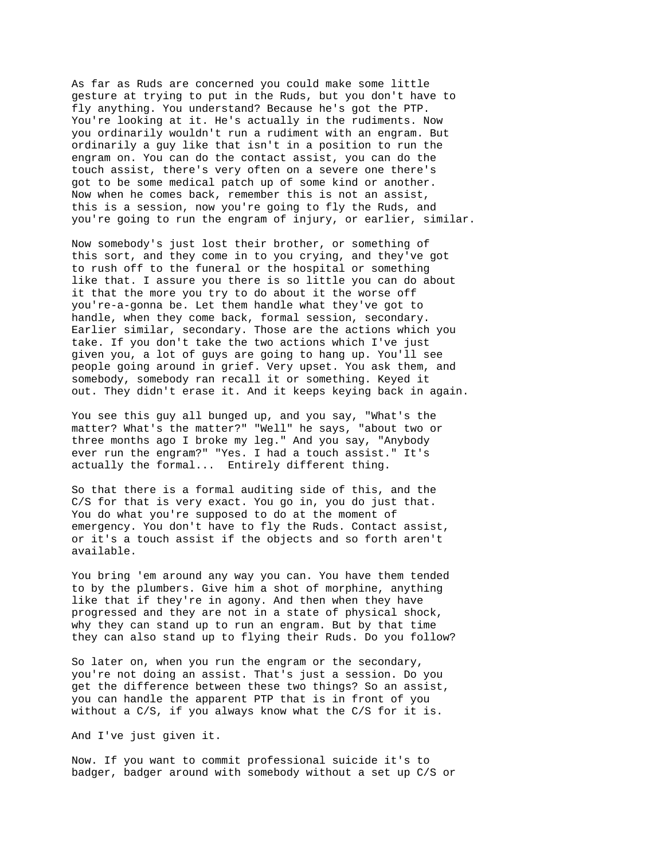As far as Ruds are concerned you could make some little gesture at trying to put in the Ruds, but you don't have to fly anything. You understand? Because he's got the PTP. You're looking at it. He's actually in the rudiments. Now you ordinarily wouldn't run a rudiment with an engram. But ordinarily a guy like that isn't in a position to run the engram on. You can do the contact assist, you can do the touch assist, there's very often on a severe one there's got to be some medical patch up of some kind or another. Now when he comes back, remember this is not an assist, this is a session, now you're going to fly the Ruds, and you're going to run the engram of injury, or earlier, similar.

Now somebody's just lost their brother, or something of this sort, and they come in to you crying, and they've got to rush off to the funeral or the hospital or something like that. I assure you there is so little you can do about it that the more you try to do about it the worse off you're-a-gonna be. Let them handle what they've got to handle, when they come back, formal session, secondary. Earlier similar, secondary. Those are the actions which you take. If you don't take the two actions which I've just given you, a lot of guys are going to hang up. You'll see people going around in grief. Very upset. You ask them, and somebody, somebody ran recall it or something. Keyed it out. They didn't erase it. And it keeps keying back in again.

You see this guy all bunged up, and you say, "What's the matter? What's the matter?" "Well" he says, "about two or three months ago I broke my leg." And you say, "Anybody ever run the engram?" "Yes. I had a touch assist." It's actually the formal... Entirely different thing.

So that there is a formal auditing side of this, and the C/S for that is very exact. You go in, you do just that. You do what you're supposed to do at the moment of emergency. You don't have to fly the Ruds. Contact assist, or it's a touch assist if the objects and so forth aren't available.

You bring 'em around any way you can. You have them tended to by the plumbers. Give him a shot of morphine, anything like that if they're in agony. And then when they have progressed and they are not in a state of physical shock, why they can stand up to run an engram. But by that time they can also stand up to flying their Ruds. Do you follow?

So later on, when you run the engram or the secondary, you're not doing an assist. That's just a session. Do you get the difference between these two things? So an assist, you can handle the apparent PTP that is in front of you without a C/S, if you always know what the C/S for it is.

And I've just given it.

Now. If you want to commit professional suicide it's to badger, badger around with somebody without a set up C/S or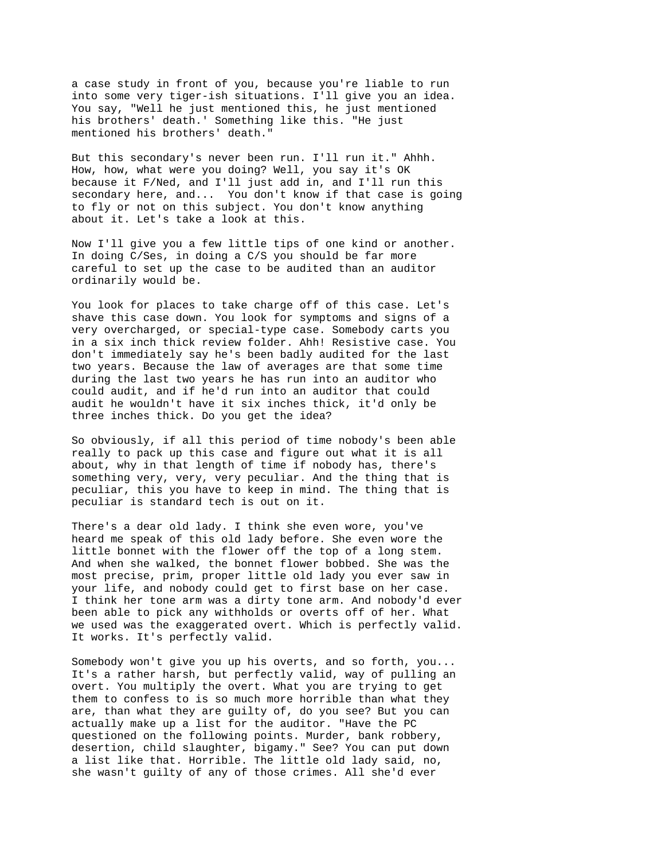a case study in front of you, because you're liable to run into some very tiger-ish situations. I'll give you an idea. You say, "Well he just mentioned this, he just mentioned his brothers' death.' Something like this. "He just mentioned his brothers' death."

But this secondary's never been run. I'll run it." Ahhh. How, how, what were you doing? Well, you say it's OK because it F/Ned, and I'll just add in, and I'll run this secondary here, and... You don't know if that case is going to fly or not on this subject. You don't know anything about it. Let's take a look at this.

Now I'll give you a few little tips of one kind or another. In doing C/Ses, in doing a C/S you should be far more careful to set up the case to be audited than an auditor ordinarily would be.

You look for places to take charge off of this case. Let's shave this case down. You look for symptoms and signs of a very overcharged, or special-type case. Somebody carts you in a six inch thick review folder. Ahh! Resistive case. You don't immediately say he's been badly audited for the last two years. Because the law of averages are that some time during the last two years he has run into an auditor who could audit, and if he'd run into an auditor that could audit he wouldn't have it six inches thick, it'd only be three inches thick. Do you get the idea?

So obviously, if all this period of time nobody's been able really to pack up this case and figure out what it is all about, why in that length of time if nobody has, there's something very, very, very peculiar. And the thing that is peculiar, this you have to keep in mind. The thing that is peculiar is standard tech is out on it.

There's a dear old lady. I think she even wore, you've heard me speak of this old lady before. She even wore the little bonnet with the flower off the top of a long stem. And when she walked, the bonnet flower bobbed. She was the most precise, prim, proper little old lady you ever saw in your life, and nobody could get to first base on her case. I think her tone arm was a dirty tone arm. And nobody'd ever been able to pick any withholds or overts off of her. What we used was the exaggerated overt. Which is perfectly valid. It works. It's perfectly valid.

Somebody won't give you up his overts, and so forth, you... It's a rather harsh, but perfectly valid, way of pulling an overt. You multiply the overt. What you are trying to get them to confess to is so much more horrible than what they are, than what they are guilty of, do you see? But you can actually make up a list for the auditor. "Have the PC questioned on the following points. Murder, bank robbery, desertion, child slaughter, bigamy." See? You can put down a list like that. Horrible. The little old lady said, no, she wasn't guilty of any of those crimes. All she'd ever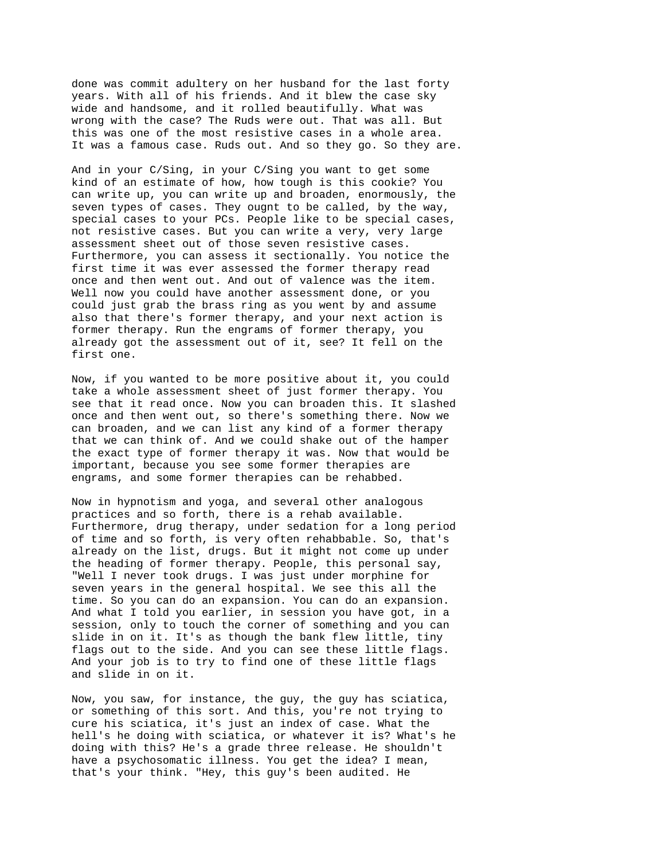done was commit adultery on her husband for the last forty years. With all of his friends. And it blew the case sky wide and handsome, and it rolled beautifully. What was wrong with the case? The Ruds were out. That was all. But this was one of the most resistive cases in a whole area. It was a famous case. Ruds out. And so they go. So they are.

And in your C/Sing, in your C/Sing you want to get some kind of an estimate of how, how tough is this cookie? You can write up, you can write up and broaden, enormously, the seven types of cases. They ougnt to be called, by the way, special cases to your PCs. People like to be special cases, not resistive cases. But you can write a very, very large assessment sheet out of those seven resistive cases. Furthermore, you can assess it sectionally. You notice the first time it was ever assessed the former therapy read once and then went out. And out of valence was the item. Well now you could have another assessment done, or you could just grab the brass ring as you went by and assume also that there's former therapy, and your next action is former therapy. Run the engrams of former therapy, you already got the assessment out of it, see? It fell on the first one.

Now, if you wanted to be more positive about it, you could take a whole assessment sheet of just former therapy. You see that it read once. Now you can broaden this. It slashed once and then went out, so there's something there. Now we can broaden, and we can list any kind of a former therapy that we can think of. And we could shake out of the hamper the exact type of former therapy it was. Now that would be important, because you see some former therapies are engrams, and some former therapies can be rehabbed.

Now in hypnotism and yoga, and several other analogous practices and so forth, there is a rehab available. Furthermore, drug therapy, under sedation for a long period of time and so forth, is very often rehabbable. So, that's already on the list, drugs. But it might not come up under the heading of former therapy. People, this personal say, "Well I never took drugs. I was just under morphine for seven years in the general hospital. We see this all the time. So you can do an expansion. You can do an expansion. And what I told you earlier, in session you have got, in a session, only to touch the corner of something and you can slide in on it. It's as though the bank flew little, tiny flags out to the side. And you can see these little flags. And your job is to try to find one of these little flags and slide in on it.

Now, you saw, for instance, the guy, the guy has sciatica, or something of this sort. And this, you're not trying to cure his sciatica, it's just an index of case. What the hell's he doing with sciatica, or whatever it is? What's he doing with this? He's a grade three release. He shouldn't have a psychosomatic illness. You get the idea? I mean, that's your think. "Hey, this guy's been audited. He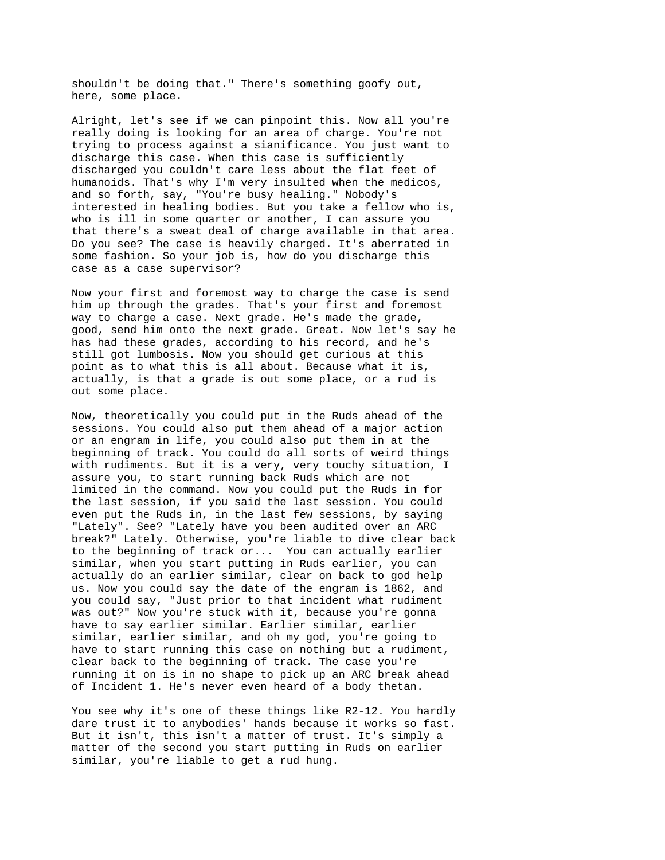shouldn't be doing that." There's something goofy out, here, some place.

Alright, let's see if we can pinpoint this. Now all you're really doing is looking for an area of charge. You're not trying to process against a sianificance. You just want to discharge this case. When this case is sufficiently discharged you couldn't care less about the flat feet of humanoids. That's why I'm very insulted when the medicos, and so forth, say, "You're busy healing." Nobody's interested in healing bodies. But you take a fellow who is, who is ill in some quarter or another, I can assure you that there's a sweat deal of charge available in that area. Do you see? The case is heavily charged. It's aberrated in some fashion. So your job is, how do you discharge this case as a case supervisor?

Now your first and foremost way to charge the case is send him up through the grades. That's your first and foremost way to charge a case. Next grade. He's made the grade, good, send him onto the next grade. Great. Now let's say he has had these grades, according to his record, and he's still got lumbosis. Now you should get curious at this point as to what this is all about. Because what it is, actually, is that a grade is out some place, or a rud is out some place.

Now, theoretically you could put in the Ruds ahead of the sessions. You could also put them ahead of a major action or an engram in life, you could also put them in at the beginning of track. You could do all sorts of weird things with rudiments. But it is a very, very touchy situation, I assure you, to start running back Ruds which are not limited in the command. Now you could put the Ruds in for the last session, if you said the last session. You could even put the Ruds in, in the last few sessions, by saying "Lately". See? "Lately have you been audited over an ARC break?" Lately. Otherwise, you're liable to dive clear back to the beginning of track or... You can actually earlier similar, when you start putting in Ruds earlier, you can actually do an earlier similar, clear on back to god help us. Now you could say the date of the engram is 1862, and you could say, "Just prior to that incident what rudiment was out?" Now you're stuck with it, because you're gonna have to say earlier similar. Earlier similar, earlier similar, earlier similar, and oh my god, you're going to have to start running this case on nothing but a rudiment, clear back to the beginning of track. The case you're running it on is in no shape to pick up an ARC break ahead of Incident 1. He's never even heard of a body thetan.

You see why it's one of these things like R2-12. You hardly dare trust it to anybodies' hands because it works so fast. But it isn't, this isn't a matter of trust. It's simply a matter of the second you start putting in Ruds on earlier similar, you're liable to get a rud hung.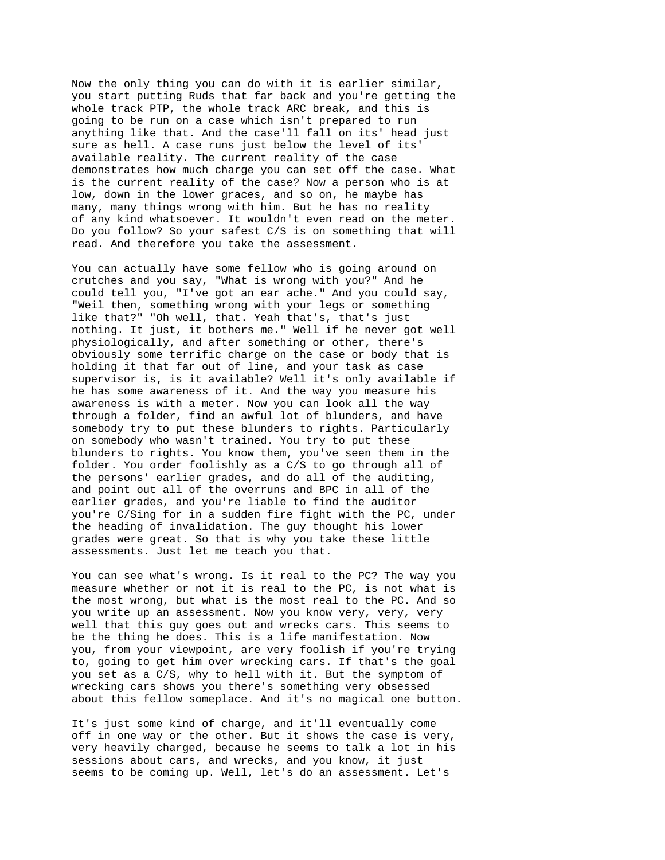Now the only thing you can do with it is earlier similar, you start putting Ruds that far back and you're getting the whole track PTP, the whole track ARC break, and this is going to be run on a case which isn't prepared to run anything like that. And the case'll fall on its' head just sure as hell. A case runs just below the level of its' available reality. The current reality of the case demonstrates how much charge you can set off the case. What is the current reality of the case? Now a person who is at low, down in the lower graces, and so on, he maybe has many, many things wrong with him. But he has no reality of any kind whatsoever. It wouldn't even read on the meter. Do you follow? So your safest C/S is on something that will read. And therefore you take the assessment.

You can actually have some fellow who is going around on crutches and you say, "What is wrong with you?" And he could tell you, "I've got an ear ache." And you could say, "Weil then, something wrong with your legs or something like that?" "Oh well, that. Yeah that's, that's just nothing. It just, it bothers me." Well if he never got well physiologically, and after something or other, there's obviously some terrific charge on the case or body that is holding it that far out of line, and your task as case supervisor is, is it available? Well it's only available if he has some awareness of it. And the way you measure his awareness is with a meter. Now you can look all the way through a folder, find an awful lot of blunders, and have somebody try to put these blunders to rights. Particularly on somebody who wasn't trained. You try to put these blunders to rights. You know them, you've seen them in the folder. You order foolishly as a C/S to go through all of the persons' earlier grades, and do all of the auditing, and point out all of the overruns and BPC in all of the earlier grades, and you're liable to find the auditor you're C/Sing for in a sudden fire fight with the PC, under the heading of invalidation. The guy thought his lower grades were great. So that is why you take these little assessments. Just let me teach you that.

You can see what's wrong. Is it real to the PC? The way you measure whether or not it is real to the PC, is not what is the most wrong, but what is the most real to the PC. And so you write up an assessment. Now you know very, very, very well that this guy goes out and wrecks cars. This seems to be the thing he does. This is a life manifestation. Now you, from your viewpoint, are very foolish if you're trying to, going to get him over wrecking cars. If that's the goal you set as a C/S, why to hell with it. But the symptom of wrecking cars shows you there's something very obsessed about this fellow someplace. And it's no magical one button.

It's just some kind of charge, and it'll eventually come off in one way or the other. But it shows the case is very, very heavily charged, because he seems to talk a lot in his sessions about cars, and wrecks, and you know, it just seems to be coming up. Well, let's do an assessment. Let's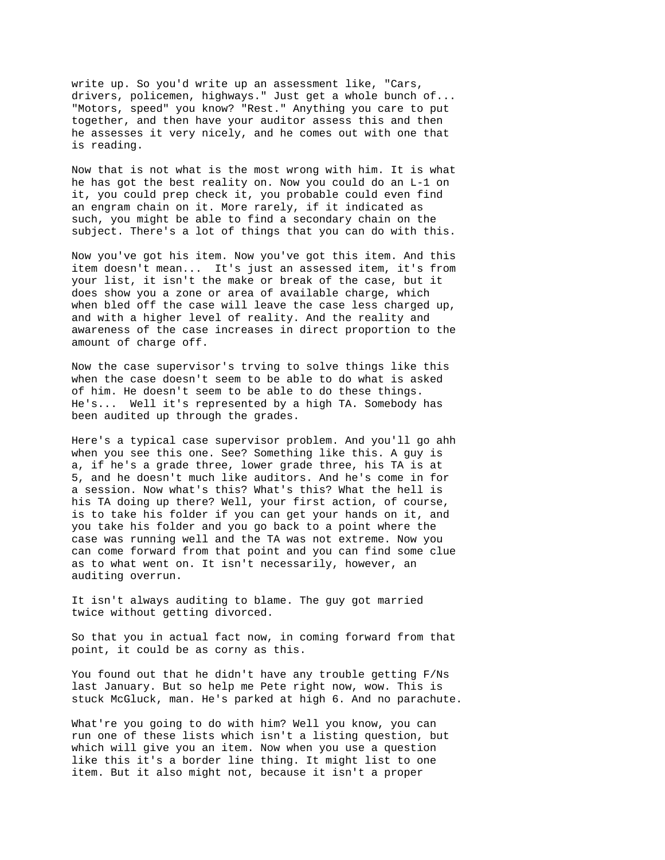write up. So you'd write up an assessment like, "Cars, drivers, policemen, highways." Just get a whole bunch of... "Motors, speed" you know? "Rest." Anything you care to put together, and then have your auditor assess this and then he assesses it very nicely, and he comes out with one that is reading.

Now that is not what is the most wrong with him. It is what he has got the best reality on. Now you could do an L-1 on it, you could prep check it, you probable could even find an engram chain on it. More rarely, if it indicated as such, you might be able to find a secondary chain on the subject. There's a lot of things that you can do with this.

Now you've got his item. Now you've got this item. And this item doesn't mean... It's just an assessed item, it's from your list, it isn't the make or break of the case, but it does show you a zone or area of available charge, which when bled off the case will leave the case less charged up, and with a higher level of reality. And the reality and awareness of the case increases in direct proportion to the amount of charge off.

Now the case supervisor's trving to solve things like this when the case doesn't seem to be able to do what is asked of him. He doesn't seem to be able to do these things. He's... Well it's represented by a high TA. Somebody has been audited up through the grades.

Here's a typical case supervisor problem. And you'll go ahh when you see this one. See? Something like this. A guy is a, if he's a grade three, lower grade three, his TA is at 5, and he doesn't much like auditors. And he's come in for a session. Now what's this? What's this? What the hell is his TA doing up there? Well, your first action, of course, is to take his folder if you can get your hands on it, and you take his folder and you go back to a point where the case was running well and the TA was not extreme. Now you can come forward from that point and you can find some clue as to what went on. It isn't necessarily, however, an auditing overrun.

It isn't always auditing to blame. The guy got married twice without getting divorced.

So that you in actual fact now, in coming forward from that point, it could be as corny as this.

You found out that he didn't have any trouble getting F/Ns last January. But so help me Pete right now, wow. This is stuck McGluck, man. He's parked at high 6. And no parachute.

What're you going to do with him? Well you know, you can run one of these lists which isn't a listing question, but which will give you an item. Now when you use a question like this it's a border line thing. It might list to one item. But it also might not, because it isn't a proper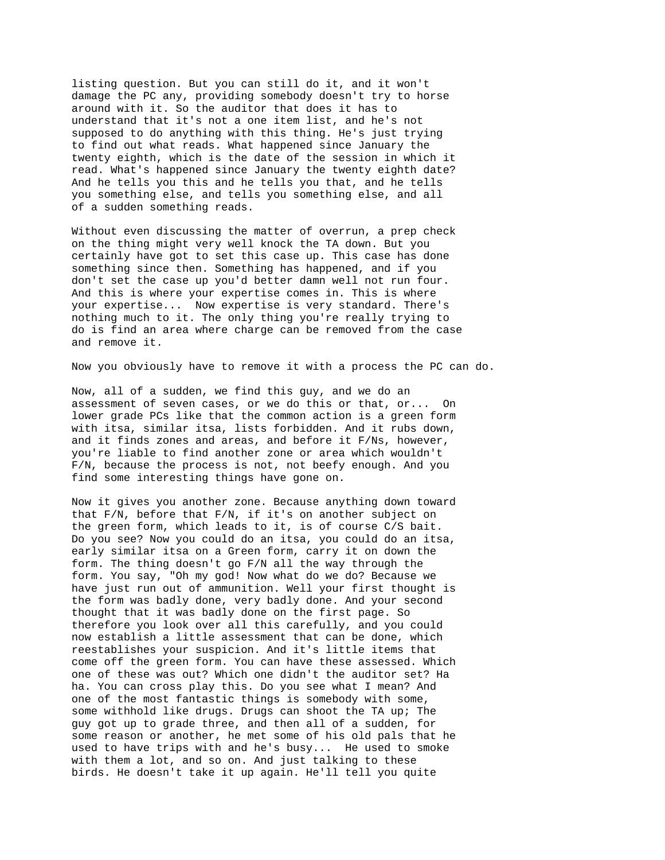listing question. But you can still do it, and it won't damage the PC any, providing somebody doesn't try to horse around with it. So the auditor that does it has to understand that it's not a one item list, and he's not supposed to do anything with this thing. He's just trying to find out what reads. What happened since January the twenty eighth, which is the date of the session in which it read. What's happened since January the twenty eighth date? And he tells you this and he tells you that, and he tells you something else, and tells you something else, and all of a sudden something reads.

Without even discussing the matter of overrun, a prep check on the thing might very well knock the TA down. But you certainly have got to set this case up. This case has done something since then. Something has happened, and if you don't set the case up you'd better damn well not run four. And this is where your expertise comes in. This is where your expertise... Now expertise is very standard. There's nothing much to it. The only thing you're really trying to do is find an area where charge can be removed from the case and remove it.

Now you obviously have to remove it with a process the PC can do.

Now, all of a sudden, we find this guy, and we do an assessment of seven cases, or we do this or that, or... On lower grade PCs like that the common action is a green form with itsa, similar itsa, lists forbidden. And it rubs down, and it finds zones and areas, and before it F/Ns, however, you're liable to find another zone or area which wouldn't F/N, because the process is not, not beefy enough. And you find some interesting things have gone on.

Now it gives you another zone. Because anything down toward that F/N, before that F/N, if it's on another subject on the green form, which leads to it, is of course C/S bait. Do you see? Now you could do an itsa, you could do an itsa, early similar itsa on a Green form, carry it on down the form. The thing doesn't go F/N all the way through the form. You say, "Oh my god! Now what do we do? Because we have just run out of ammunition. Well your first thought is the form was badly done, very badly done. And your second thought that it was badly done on the first page. So therefore you look over all this carefully, and you could now establish a little assessment that can be done, which reestablishes your suspicion. And it's little items that come off the green form. You can have these assessed. Which one of these was out? Which one didn't the auditor set? Ha ha. You can cross play this. Do you see what I mean? And one of the most fantastic things is somebody with some, some withhold like drugs. Drugs can shoot the TA up; The guy got up to grade three, and then all of a sudden, for some reason or another, he met some of his old pals that he used to have trips with and he's busy... He used to smoke with them a lot, and so on. And just talking to these birds. He doesn't take it up again. He'll tell you quite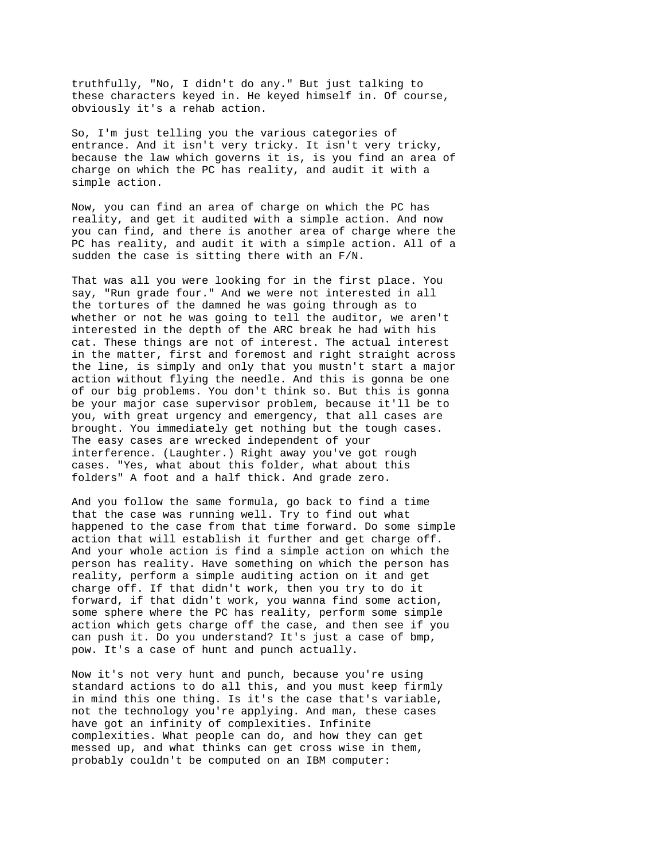truthfully, "No, I didn't do any." But just talking to these characters keyed in. He keyed himself in. Of course, obviously it's a rehab action.

So, I'm just telling you the various categories of entrance. And it isn't very tricky. It isn't very tricky, because the law which governs it is, is you find an area of charge on which the PC has reality, and audit it with a simple action.

Now, you can find an area of charge on which the PC has reality, and get it audited with a simple action. And now you can find, and there is another area of charge where the PC has reality, and audit it with a simple action. All of a sudden the case is sitting there with an F/N.

That was all you were looking for in the first place. You say, "Run grade four." And we were not interested in all the tortures of the damned he was going through as to whether or not he was going to tell the auditor, we aren't interested in the depth of the ARC break he had with his cat. These things are not of interest. The actual interest in the matter, first and foremost and right straight across the line, is simply and only that you mustn't start a major action without flying the needle. And this is gonna be one of our big problems. You don't think so. But this is gonna be your major case supervisor problem, because it'll be to you, with great urgency and emergency, that all cases are brought. You immediately get nothing but the tough cases. The easy cases are wrecked independent of your interference. (Laughter.) Right away you've got rough cases. "Yes, what about this folder, what about this folders" A foot and a half thick. And grade zero.

And you follow the same formula, go back to find a time that the case was running well. Try to find out what happened to the case from that time forward. Do some simple action that will establish it further and get charge off. And your whole action is find a simple action on which the person has reality. Have something on which the person has reality, perform a simple auditing action on it and get charge off. If that didn't work, then you try to do it forward, if that didn't work, you wanna find some action, some sphere where the PC has reality, perform some simple action which gets charge off the case, and then see if you can push it. Do you understand? It's just a case of bmp, pow. It's a case of hunt and punch actually.

Now it's not very hunt and punch, because you're using standard actions to do all this, and you must keep firmly in mind this one thing. Is it's the case that's variable, not the technology you're applying. And man, these cases have got an infinity of complexities. Infinite complexities. What people can do, and how they can get messed up, and what thinks can get cross wise in them, probably couldn't be computed on an IBM computer: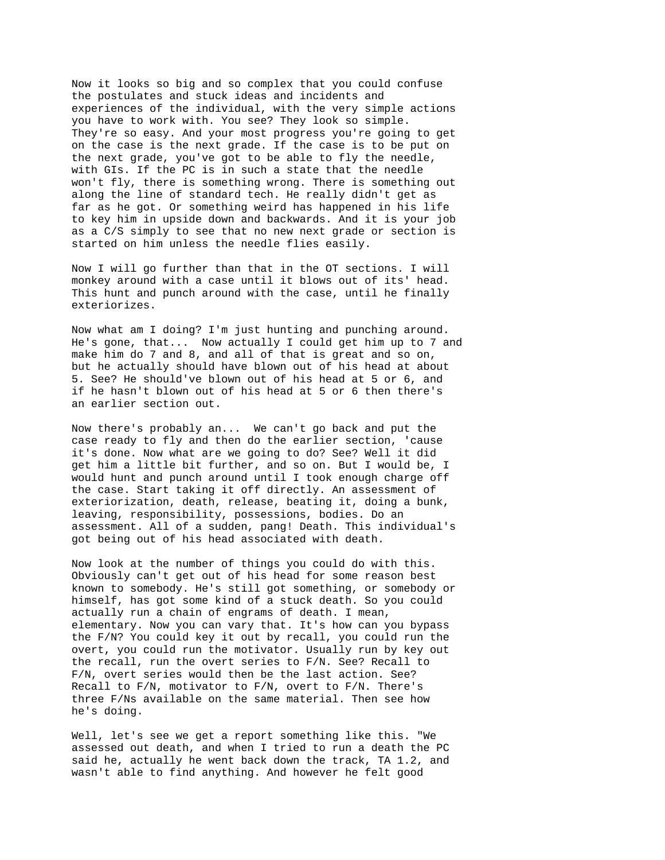Now it looks so big and so complex that you could confuse the postulates and stuck ideas and incidents and experiences of the individual, with the very simple actions you have to work with. You see? They look so simple. They're so easy. And your most progress you're going to get on the case is the next grade. If the case is to be put on the next grade, you've got to be able to fly the needle, with GIs. If the PC is in such a state that the needle won't fly, there is something wrong. There is something out along the line of standard tech. He really didn't get as far as he got. Or something weird has happened in his life to key him in upside down and backwards. And it is your job as a C/S simply to see that no new next grade or section is started on him unless the needle flies easily.

Now I will go further than that in the OT sections. I will monkey around with a case until it blows out of its' head. This hunt and punch around with the case, until he finally exteriorizes.

Now what am I doing? I'm just hunting and punching around. He's gone, that... Now actually I could get him up to 7 and make him do 7 and 8, and all of that is great and so on, but he actually should have blown out of his head at about 5. See? He should've blown out of his head at 5 or 6, and if he hasn't blown out of his head at 5 or 6 then there's an earlier section out.

Now there's probably an... We can't go back and put the case ready to fly and then do the earlier section, 'cause it's done. Now what are we going to do? See? Well it did get him a little bit further, and so on. But I would be, I would hunt and punch around until I took enough charge off the case. Start taking it off directly. An assessment of exteriorization, death, release, beating it, doing a bunk, leaving, responsibility, possessions, bodies. Do an assessment. All of a sudden, pang! Death. This individual's got being out of his head associated with death.

Now look at the number of things you could do with this. Obviously can't get out of his head for some reason best known to somebody. He's still got something, or somebody or himself, has got some kind of a stuck death. So you could actually run a chain of engrams of death. I mean, elementary. Now you can vary that. It's how can you bypass the F/N? You could key it out by recall, you could run the overt, you could run the motivator. Usually run by key out the recall, run the overt series to F/N. See? Recall to F/N, overt series would then be the last action. See? Recall to F/N, motivator to F/N, overt to F/N. There's three F/Ns available on the same material. Then see how he's doing.

Well, let's see we get a report something like this. "We assessed out death, and when I tried to run a death the PC said he, actually he went back down the track, TA 1.2, and wasn't able to find anything. And however he felt good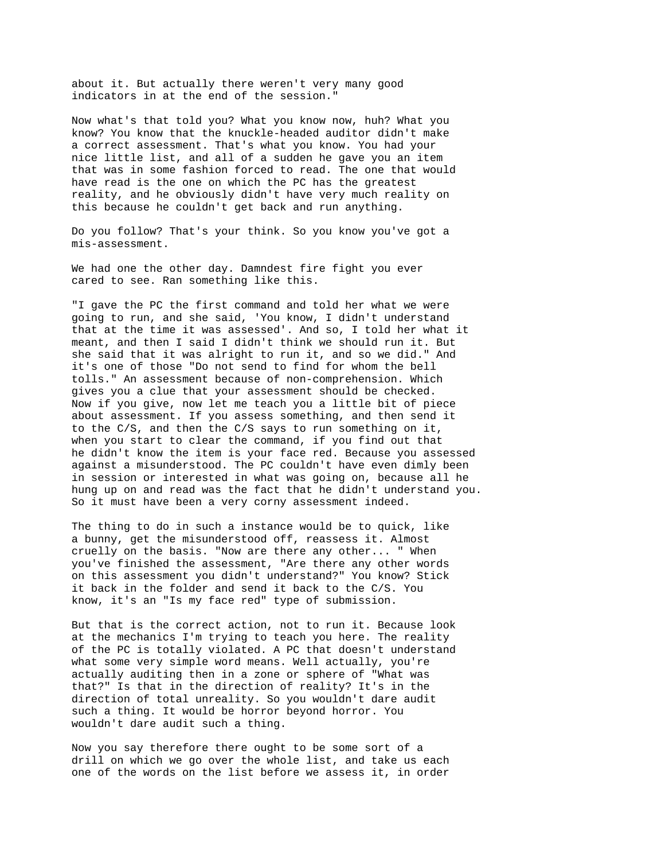about it. But actually there weren't very many good indicators in at the end of the session."

Now what's that told you? What you know now, huh? What you know? You know that the knuckle-headed auditor didn't make a correct assessment. That's what you know. You had your nice little list, and all of a sudden he gave you an item that was in some fashion forced to read. The one that would have read is the one on which the PC has the greatest reality, and he obviously didn't have very much reality on this because he couldn't get back and run anything.

Do you follow? That's your think. So you know you've got a mis-assessment.

We had one the other day. Damndest fire fight you ever cared to see. Ran something like this.

"I gave the PC the first command and told her what we were going to run, and she said, 'You know, I didn't understand that at the time it was assessed'. And so, I told her what it meant, and then I said I didn't think we should run it. But she said that it was alright to run it, and so we did." And it's one of those "Do not send to find for whom the bell tolls." An assessment because of non-comprehension. Which gives you a clue that your assessment should be checked. Now if you give, now let me teach you a little bit of piece about assessment. If you assess something, and then send it to the C/S, and then the C/S says to run something on it, when you start to clear the command, if you find out that he didn't know the item is your face red. Because you assessed against a misunderstood. The PC couldn't have even dimly been in session or interested in what was going on, because all he hung up on and read was the fact that he didn't understand you. So it must have been a very corny assessment indeed.

The thing to do in such a instance would be to quick, like a bunny, get the misunderstood off, reassess it. Almost cruelly on the basis. "Now are there any other... " When you've finished the assessment, "Are there any other words on this assessment you didn't understand?" You know? Stick it back in the folder and send it back to the C/S. You know, it's an "Is my face red" type of submission.

But that is the correct action, not to run it. Because look at the mechanics I'm trying to teach you here. The reality of the PC is totally violated. A PC that doesn't understand what some very simple word means. Well actually, you're actually auditing then in a zone or sphere of "What was that?" Is that in the direction of reality? It's in the direction of total unreality. So you wouldn't dare audit such a thing. It would be horror beyond horror. You wouldn't dare audit such a thing.

Now you say therefore there ought to be some sort of a drill on which we go over the whole list, and take us each one of the words on the list before we assess it, in order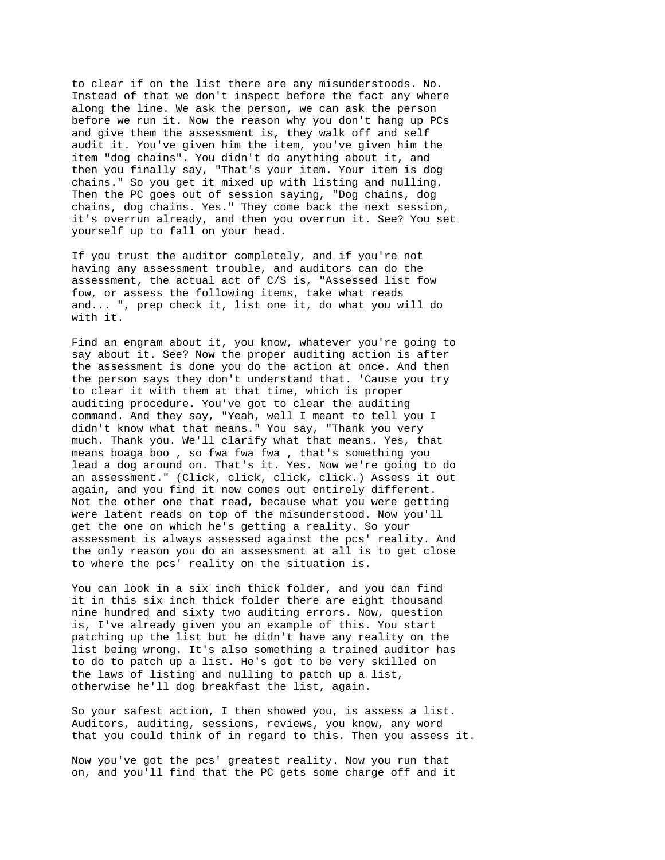to clear if on the list there are any misunderstoods. No. Instead of that we don't inspect before the fact any where along the line. We ask the person, we can ask the person before we run it. Now the reason why you don't hang up PCs and give them the assessment is, they walk off and self audit it. You've given him the item, you've given him the item "dog chains". You didn't do anything about it, and then you finally say, "That's your item. Your item is dog chains." So you get it mixed up with listing and nulling. Then the PC goes out of session saying, "Dog chains, dog chains, dog chains. Yes." They come back the next session, it's overrun already, and then you overrun it. See? You set yourself up to fall on your head.

If you trust the auditor completely, and if you're not having any assessment trouble, and auditors can do the assessment, the actual act of C/S is, "Assessed list fow fow, or assess the following items, take what reads and... ", prep check it, list one it, do what you will do with it.

Find an engram about it, you know, whatever you're going to say about it. See? Now the proper auditing action is after the assessment is done you do the action at once. And then the person says they don't understand that. 'Cause you try to clear it with them at that time, which is proper auditing procedure. You've got to clear the auditing command. And they say, "Yeah, well I meant to tell you I didn't know what that means." You say, "Thank you very much. Thank you. We'll clarify what that means. Yes, that means boaga boo , so fwa fwa fwa , that's something you lead a dog around on. That's it. Yes. Now we're going to do an assessment." (Click, click, click, click.) Assess it out again, and you find it now comes out entirely different. Not the other one that read, because what you were getting were latent reads on top of the misunderstood. Now you'll get the one on which he's getting a reality. So your assessment is always assessed against the pcs' reality. And the only reason you do an assessment at all is to get close to where the pcs' reality on the situation is.

You can look in a six inch thick folder, and you can find it in this six inch thick folder there are eight thousand nine hundred and sixty two auditing errors. Now, question is, I've already given you an example of this. You start patching up the list but he didn't have any reality on the list being wrong. It's also something a trained auditor has to do to patch up a list. He's got to be very skilled on the laws of listing and nulling to patch up a list, otherwise he'll dog breakfast the list, again.

So your safest action, I then showed you, is assess a list. Auditors, auditing, sessions, reviews, you know, any word that you could think of in regard to this. Then you assess it.

Now you've got the pcs' greatest reality. Now you run that on, and you'll find that the PC gets some charge off and it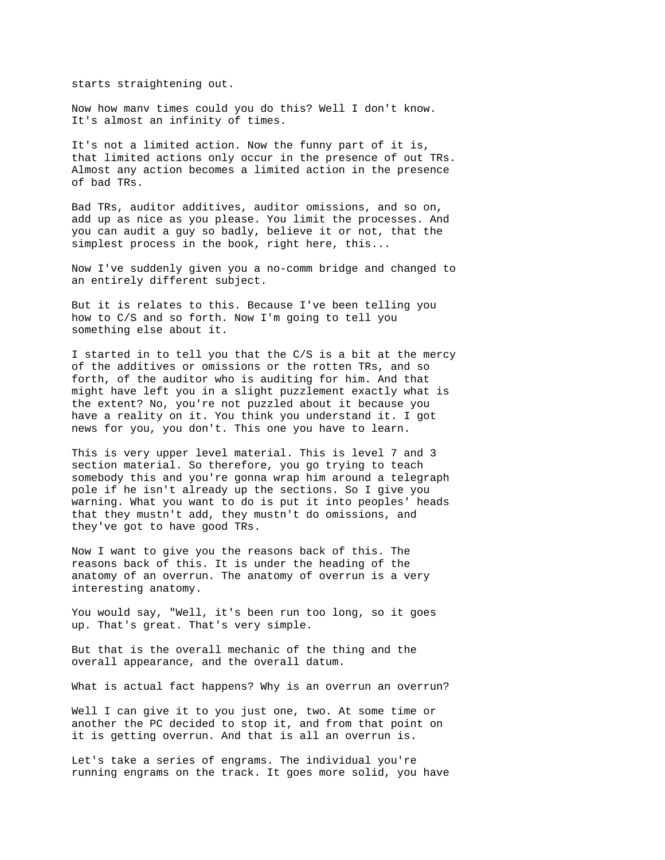starts straightening out.

Now how manv times could you do this? Well I don't know. It's almost an infinity of times.

It's not a limited action. Now the funny part of it is, that limited actions only occur in the presence of out TRs. Almost any action becomes a limited action in the presence of bad TRs.

Bad TRs, auditor additives, auditor omissions, and so on, add up as nice as you please. You limit the processes. And you can audit a guy so badly, believe it or not, that the simplest process in the book, right here, this...

Now I've suddenly given you a no-comm bridge and changed to an entirely different subject.

But it is relates to this. Because I've been telling you how to C/S and so forth. Now I'm going to tell you something else about it.

I started in to tell you that the C/S is a bit at the mercy of the additives or omissions or the rotten TRs, and so forth, of the auditor who is auditing for him. And that might have left you in a slight puzzlement exactly what is the extent? No, you're not puzzled about it because you have a reality on it. You think you understand it. I got news for you, you don't. This one you have to learn.

This is very upper level material. This is level 7 and 3 section material. So therefore, you go trying to teach somebody this and you're gonna wrap him around a telegraph pole if he isn't already up the sections. So I give you warning. What you want to do is put it into peoples' heads that they mustn't add, they mustn't do omissions, and they've got to have good TRs.

Now I want to give you the reasons back of this. The reasons back of this. It is under the heading of the anatomy of an overrun. The anatomy of overrun is a very interesting anatomy.

You would say, "Well, it's been run too long, so it goes up. That's great. That's very simple.

But that is the overall mechanic of the thing and the overall appearance, and the overall datum.

What is actual fact happens? Why is an overrun an overrun?

Well I can give it to you just one, two. At some time or another the PC decided to stop it, and from that point on it is getting overrun. And that is all an overrun is.

Let's take a series of engrams. The individual you're running engrams on the track. It goes more solid, you have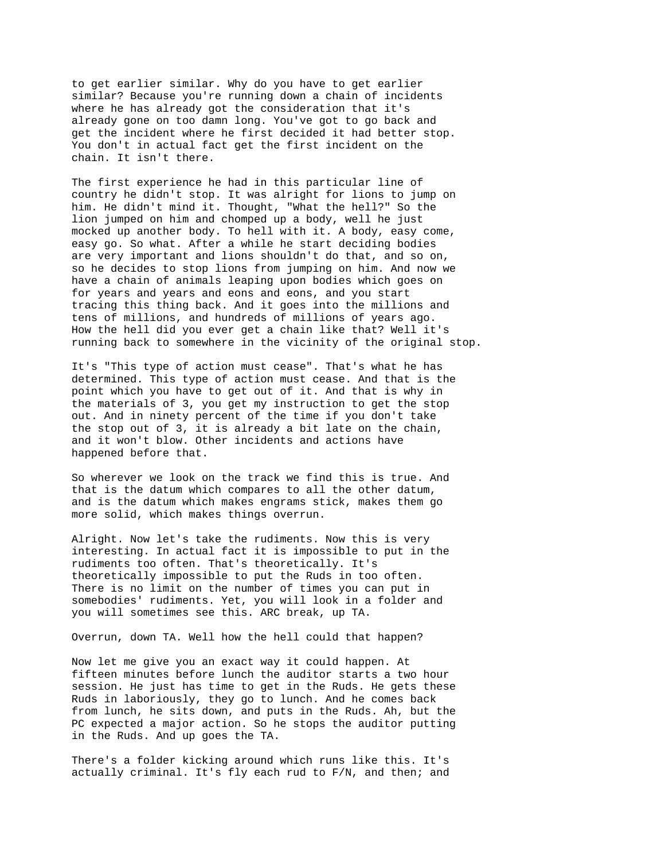to get earlier similar. Why do you have to get earlier similar? Because you're running down a chain of incidents where he has already got the consideration that it's already gone on too damn long. You've got to go back and get the incident where he first decided it had better stop. You don't in actual fact get the first incident on the chain. It isn't there.

The first experience he had in this particular line of country he didn't stop. It was alright for lions to jump on him. He didn't mind it. Thought, "What the hell?" So the lion jumped on him and chomped up a body, well he just mocked up another body. To hell with it. A body, easy come, easy go. So what. After a while he start deciding bodies are very important and lions shouldn't do that, and so on, so he decides to stop lions from jumping on him. And now we have a chain of animals leaping upon bodies which goes on for years and years and eons and eons, and you start tracing this thing back. And it goes into the millions and tens of millions, and hundreds of millions of years ago. How the hell did you ever get a chain like that? Well it's running back to somewhere in the vicinity of the original stop.

It's "This type of action must cease". That's what he has determined. This type of action must cease. And that is the point which you have to get out of it. And that is why in the materials of 3, you get my instruction to get the stop out. And in ninety percent of the time if you don't take the stop out of 3, it is already a bit late on the chain, and it won't blow. Other incidents and actions have happened before that.

So wherever we look on the track we find this is true. And that is the datum which compares to all the other datum, and is the datum which makes engrams stick, makes them go more solid, which makes things overrun.

Alright. Now let's take the rudiments. Now this is very interesting. In actual fact it is impossible to put in the rudiments too often. That's theoretically. It's theoretically impossible to put the Ruds in too often. There is no limit on the number of times you can put in somebodies' rudiments. Yet, you will look in a folder and you will sometimes see this. ARC break, up TA.

Overrun, down TA. Well how the hell could that happen?

Now let me give you an exact way it could happen. At fifteen minutes before lunch the auditor starts a two hour session. He just has time to get in the Ruds. He gets these Ruds in laboriously, they go to lunch. And he comes back from lunch, he sits down, and puts in the Ruds. Ah, but the PC expected a major action. So he stops the auditor putting in the Ruds. And up goes the TA.

There's a folder kicking around which runs like this. It's actually criminal. It's fly each rud to F/N, and then; and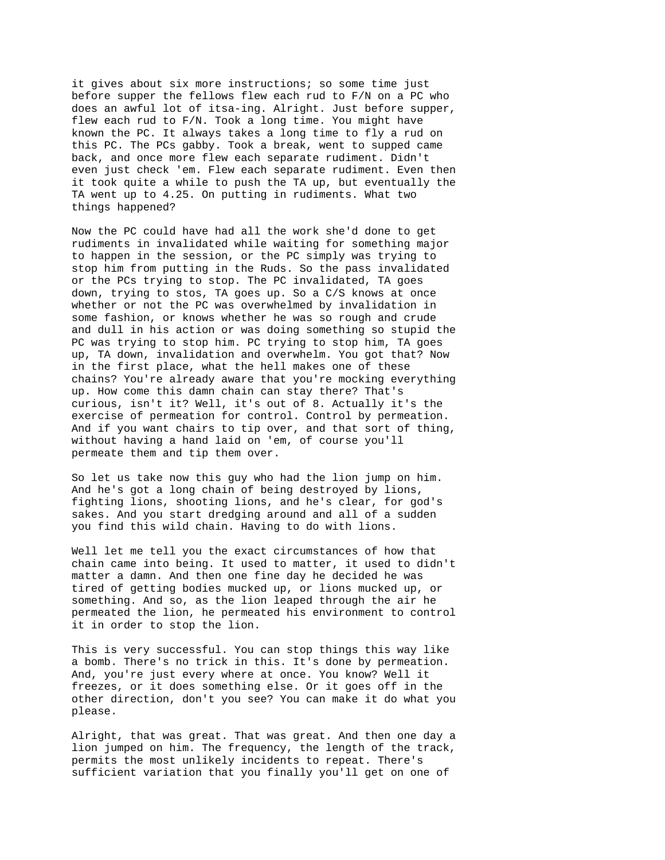it gives about six more instructions; so some time just before supper the fellows flew each rud to F/N on a PC who does an awful lot of itsa-ing. Alright. Just before supper, flew each rud to F/N. Took a long time. You might have known the PC. It always takes a long time to fly a rud on this PC. The PCs gabby. Took a break, went to supped came back, and once more flew each separate rudiment. Didn't even just check 'em. Flew each separate rudiment. Even then it took quite a while to push the TA up, but eventually the TA went up to 4.25. On putting in rudiments. What two things happened?

Now the PC could have had all the work she'd done to get rudiments in invalidated while waiting for something major to happen in the session, or the PC simply was trying to stop him from putting in the Ruds. So the pass invalidated or the PCs trying to stop. The PC invalidated, TA goes down, trying to stos, TA goes up. So a C/S knows at once whether or not the PC was overwhelmed by invalidation in some fashion, or knows whether he was so rough and crude and dull in his action or was doing something so stupid the PC was trying to stop him. PC trying to stop him, TA goes up, TA down, invalidation and overwhelm. You got that? Now in the first place, what the hell makes one of these chains? You're already aware that you're mocking everything up. How come this damn chain can stay there? That's curious, isn't it? Well, it's out of 8. Actually it's the exercise of permeation for control. Control by permeation. And if you want chairs to tip over, and that sort of thing, without having a hand laid on 'em, of course you'll permeate them and tip them over.

So let us take now this guy who had the lion jump on him. And he's got a long chain of being destroyed by lions, fighting lions, shooting lions, and he's clear, for god's sakes. And you start dredging around and all of a sudden you find this wild chain. Having to do with lions.

Well let me tell you the exact circumstances of how that chain came into being. It used to matter, it used to didn't matter a damn. And then one fine day he decided he was tired of getting bodies mucked up, or lions mucked up, or something. And so, as the lion leaped through the air he permeated the lion, he permeated his environment to control it in order to stop the lion.

This is very successful. You can stop things this way like a bomb. There's no trick in this. It's done by permeation. And, you're just every where at once. You know? Well it freezes, or it does something else. Or it goes off in the other direction, don't you see? You can make it do what you please.

Alright, that was great. That was great. And then one day a lion jumped on him. The frequency, the length of the track, permits the most unlikely incidents to repeat. There's sufficient variation that you finally you'll get on one of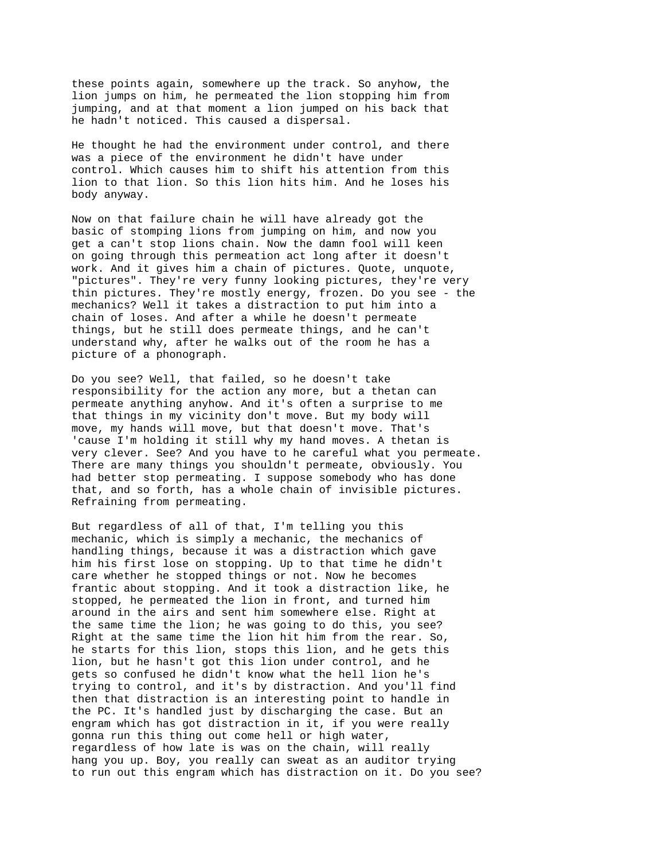these points again, somewhere up the track. So anyhow, the lion jumps on him, he permeated the lion stopping him from jumping, and at that moment a lion jumped on his back that he hadn't noticed. This caused a dispersal.

He thought he had the environment under control, and there was a piece of the environment he didn't have under control. Which causes him to shift his attention from this lion to that lion. So this lion hits him. And he loses his body anyway.

Now on that failure chain he will have already got the basic of stomping lions from jumping on him, and now you get a can't stop lions chain. Now the damn fool will keen on going through this permeation act long after it doesn't work. And it gives him a chain of pictures. Quote, unquote, "pictures". They're very funny looking pictures, they're very thin pictures. They're mostly energy, frozen. Do you see - the mechanics? Well it takes a distraction to put him into a chain of loses. And after a while he doesn't permeate things, but he still does permeate things, and he can't understand why, after he walks out of the room he has a picture of a phonograph.

Do you see? Well, that failed, so he doesn't take responsibility for the action any more, but a thetan can permeate anything anyhow. And it's often a surprise to me that things in my vicinity don't move. But my body will move, my hands will move, but that doesn't move. That's 'cause I'm holding it still why my hand moves. A thetan is very clever. See? And you have to he careful what you permeate. There are many things you shouldn't permeate, obviously. You had better stop permeating. I suppose somebody who has done that, and so forth, has a whole chain of invisible pictures. Refraining from permeating.

But regardless of all of that, I'm telling you this mechanic, which is simply a mechanic, the mechanics of handling things, because it was a distraction which gave him his first lose on stopping. Up to that time he didn't care whether he stopped things or not. Now he becomes frantic about stopping. And it took a distraction like, he stopped, he permeated the lion in front, and turned him around in the airs and sent him somewhere else. Right at the same time the lion; he was going to do this, you see? Right at the same time the lion hit him from the rear. So, he starts for this lion, stops this lion, and he gets this lion, but he hasn't got this lion under control, and he gets so confused he didn't know what the hell lion he's trying to control, and it's by distraction. And you'll find then that distraction is an interesting point to handle in the PC. It's handled just by discharging the case. But an engram which has got distraction in it, if you were really gonna run this thing out come hell or high water, regardless of how late is was on the chain, will really hang you up. Boy, you really can sweat as an auditor trying to run out this engram which has distraction on it. Do you see?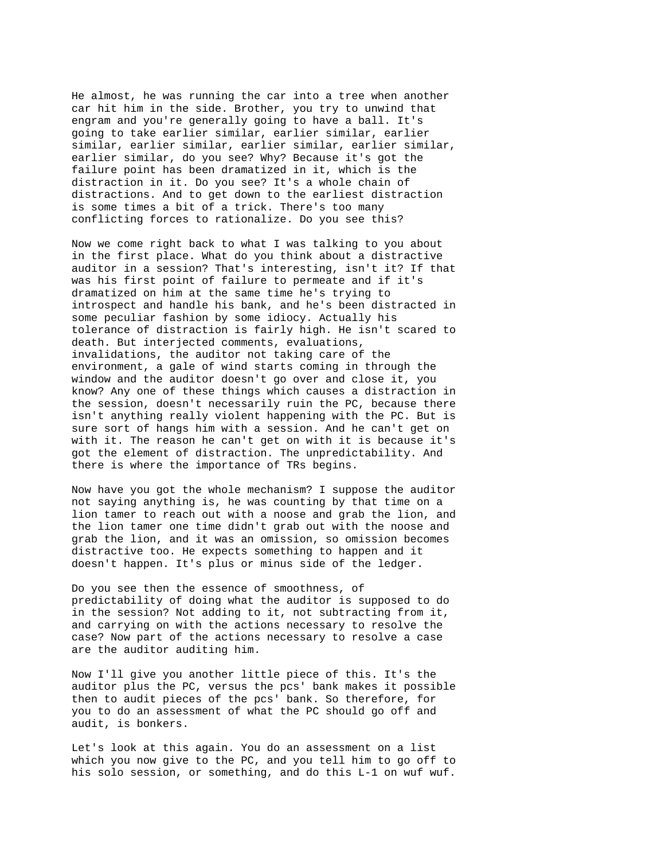He almost, he was running the car into a tree when another car hit him in the side. Brother, you try to unwind that engram and you're generally going to have a ball. It's going to take earlier similar, earlier similar, earlier similar, earlier similar, earlier similar, earlier similar, earlier similar, do you see? Why? Because it's got the failure point has been dramatized in it, which is the distraction in it. Do you see? It's a whole chain of distractions. And to get down to the earliest distraction is some times a bit of a trick. There's too many conflicting forces to rationalize. Do you see this?

Now we come right back to what I was talking to you about in the first place. What do you think about a distractive auditor in a session? That's interesting, isn't it? If that was his first point of failure to permeate and if it's dramatized on him at the same time he's trying to introspect and handle his bank, and he's been distracted in some peculiar fashion by some idiocy. Actually his tolerance of distraction is fairly high. He isn't scared to death. But interjected comments, evaluations, invalidations, the auditor not taking care of the environment, a gale of wind starts coming in through the window and the auditor doesn't go over and close it, you know? Any one of these things which causes a distraction in the session, doesn't necessarily ruin the PC, because there isn't anything really violent happening with the PC. But is sure sort of hangs him with a session. And he can't get on with it. The reason he can't get on with it is because it's got the element of distraction. The unpredictability. And there is where the importance of TRs begins.

Now have you got the whole mechanism? I suppose the auditor not saying anything is, he was counting by that time on a lion tamer to reach out with a noose and grab the lion, and the lion tamer one time didn't grab out with the noose and grab the lion, and it was an omission, so omission becomes distractive too. He expects something to happen and it doesn't happen. It's plus or minus side of the ledger.

Do you see then the essence of smoothness, of predictability of doing what the auditor is supposed to do in the session? Not adding to it, not subtracting from it, and carrying on with the actions necessary to resolve the case? Now part of the actions necessary to resolve a case are the auditor auditing him.

Now I'll give you another little piece of this. It's the auditor plus the PC, versus the pcs' bank makes it possible then to audit pieces of the pcs' bank. So therefore, for you to do an assessment of what the PC should go off and audit, is bonkers.

Let's look at this again. You do an assessment on a list which you now give to the PC, and you tell him to go off to his solo session, or something, and do this L-1 on wuf wuf.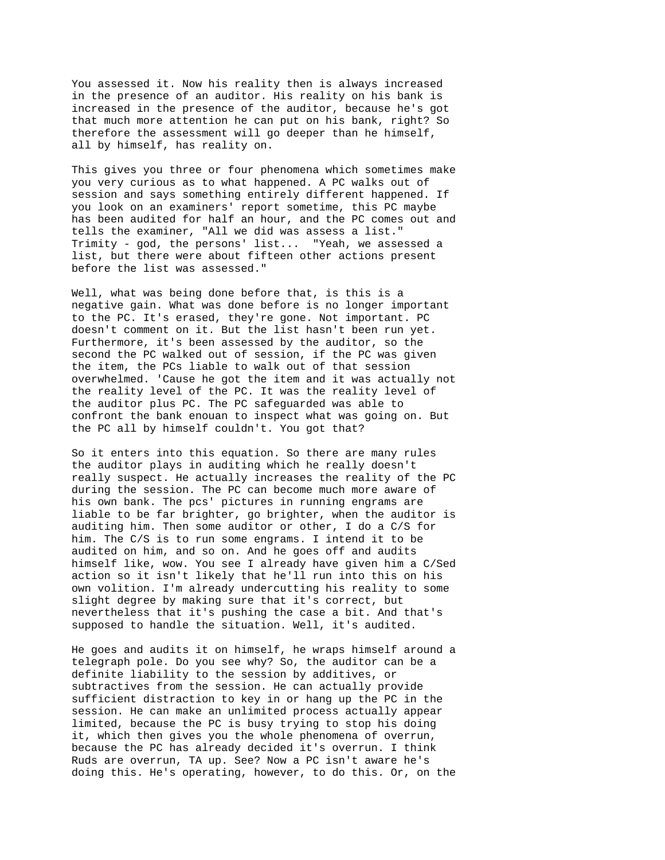You assessed it. Now his reality then is always increased in the presence of an auditor. His reality on his bank is increased in the presence of the auditor, because he's got that much more attention he can put on his bank, right? So therefore the assessment will go deeper than he himself, all by himself, has reality on.

This gives you three or four phenomena which sometimes make you very curious as to what happened. A PC walks out of session and says something entirely different happened. If you look on an examiners' report sometime, this PC maybe has been audited for half an hour, and the PC comes out and tells the examiner, "All we did was assess a list." Trimity - god, the persons' list... "Yeah, we assessed a list, but there were about fifteen other actions present before the list was assessed."

Well, what was being done before that, is this is a negative gain. What was done before is no longer important to the PC. It's erased, they're gone. Not important. PC doesn't comment on it. But the list hasn't been run yet. Furthermore, it's been assessed by the auditor, so the second the PC walked out of session, if the PC was given the item, the PCs liable to walk out of that session overwhelmed. 'Cause he got the item and it was actually not the reality level of the PC. It was the reality level of the auditor plus PC. The PC safeguarded was able to confront the bank enouan to inspect what was going on. But the PC all by himself couldn't. You got that?

So it enters into this equation. So there are many rules the auditor plays in auditing which he really doesn't really suspect. He actually increases the reality of the PC during the session. The PC can become much more aware of his own bank. The pcs' pictures in running engrams are liable to be far brighter, go brighter, when the auditor is auditing him. Then some auditor or other, I do a C/S for him. The C/S is to run some engrams. I intend it to be audited on him, and so on. And he goes off and audits himself like, wow. You see I already have given him a C/Sed action so it isn't likely that he'll run into this on his own volition. I'm already undercutting his reality to some slight degree by making sure that it's correct, but nevertheless that it's pushing the case a bit. And that's supposed to handle the situation. Well, it's audited.

He goes and audits it on himself, he wraps himself around a telegraph pole. Do you see why? So, the auditor can be a definite liability to the session by additives, or subtractives from the session. He can actually provide sufficient distraction to key in or hang up the PC in the session. He can make an unlimited process actually appear limited, because the PC is busy trying to stop his doing it, which then gives you the whole phenomena of overrun, because the PC has already decided it's overrun. I think Ruds are overrun, TA up. See? Now a PC isn't aware he's doing this. He's operating, however, to do this. Or, on the